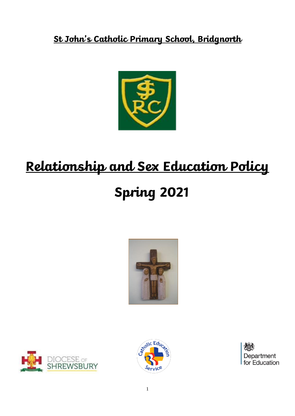**St John's Catholic Primary School, Bridgnorth**



# **Relationship and Sex Education Policy**

## **Spring 2021**







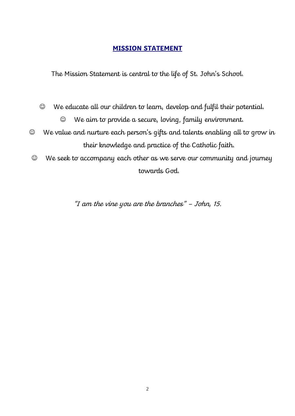## **MISSION STATEMENT**

The Mission Statement is central to the life of St. John's School.

- ☺ We educate all our children to learn, develop and fulfil their potential.
	- ☺ We aim to provide a secure, loving, family environment.
- ☺ We value and nurture each person's gifts and talents enabling all to grow in their knowledge and practice of the Catholic faith.
- ☺ We seek to accompany each other as we serve our community and journey towards God.

"I am the vine you are the branches" – John, 15.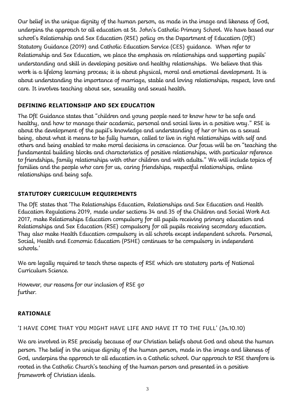Our belief in the unique dignity of the human person, as made in the image and likeness of God, underpins the approach to all education at St. John's Catholic Primary School. We have based our school's Relationship and Sex Education (RSE) policy on the Department of Education (DfE) Statutory Guidance (2019) and Catholic Education Service (CES) guidance. When refer to Relationship and Sex Education, we place the emphasis on relationships and supporting pupils' understanding and skill in developing positive and healthy relationships. We believe that this work is a lifelong learning process; it is about physical, moral and emotional development. It is about understanding the importance of marriage, stable and loving relationships, respect, love and care. It involves teaching about sex, sexuality and sexual health.

## **DEFINING RELATIONSHIP AND SEX EDUCATION**

The DfE Guidance states that "children and young people need to know how to be safe and healthy, and how to manage their academic, personal and social lives in a positive way." RSE is about the development of the pupil's knowledge and understanding of her or him as a sexual being, about what it means to be fully human, called to live in right relationships with self and others and being enabled to make moral decisions in conscience. Our focus will be on "teaching the fundamental building blocks and characteristics of positive relationships, with particular reference to friendships, family relationships with other children and with adults." We will include topics of families and the people who care for us, caring friendships, respectful relationships, online relationships and being safe.

## **STATUTORY CURRICULUM REQUIREMENTS**

The DfE states that 'The Relationships Education, Relationships and Sex Education and Health Education Regulations 2019, made under sections 34 and 35 of the Children and Social Work Act 2017, make Relationships Education compulsory for all pupils receiving primary education and Relationships and Sex Education (RSE) compulsory for all pupils receiving secondary education. They also make Health Education compulsory in all schools except independent schools. Personal, Social, Health and Economic Education (PSHE) continues to be compulsory in independent schools.'

We are legally required to teach those aspects of RSE which are statutory parts of National Curriculum Science.

However, our reasons for our inclusion of RSE go further.

#### **RATIONALE**

'I HAVE COME THAT YOU MIGHT HAVE LIFE AND HAVE IT TO THE FULL' (Jn.10.10)

We are involved in RSE precisely because of our Christian beliefs about God and about the human person. The belief in the unique dignity of the human person, made in the image and likeness of God, underpins the approach to all education in a Catholic school. Our approach to RSE therefore is rooted in the Catholic Church's teaching of the human person and presented in a positive framework of Christian ideals.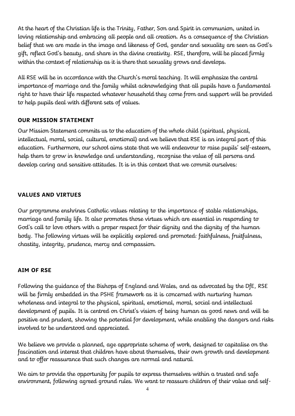At the heart of the Christian life is the Trinity, Father, Son and Spirit in communion, united in loving relationship and embracing all people and all creation. As a consequence of the Christian belief that we are made in the image and likeness of God, gender and sexuality are seen as God's gift, reflect God's beauty, and share in the divine creativity. RSE, therefore, will be placed firmly within the context of relationship as it is there that sexuality grows and develops.

All RSE will be in accordance with the Church's moral teaching. It will emphasize the central importance of marriage and the family whilst acknowledging that all pupils have a fundamental right to have their life respected whatever household they come from and support will be provided to help pupils deal with different sets of values.

## **OUR MISSION STATEMENT**

Our Mission Statement commits us to the education of the whole child (spiritual, physical, intellectual, moral, social, cultural, emotional) and we believe that RSE is an integral part of this education. Furthermore, our school aims state that we will endeavour to raise pupils' self-esteem, help them to grow in knowledge and understanding, recognise the value of all persons and develop caring and sensitive attitudes. It is in this context that we commit ourselves:

## **VALUES AND VIRTUES**

Our programme enshrines Catholic values relating to the importance of stable relationships, marriage and family life. It also promotes those virtues which are essential in responding to God's call to love others with a proper respect for their dignity and the dignity of the human body. The following virtues will be explicitly explored and promoted: faithfulness, fruitfulness, chastity, integrity, prudence, mercy and compassion.

## **AIM OF RSE**

Following the guidance of the Bishops of England and Wales, and as advocated by the DfE, RSE will be firmly embedded in the PSHE framework as it is concerned with nurturing human wholeness and integral to the physical, spiritual, emotional, moral, social and intellectual development of pupils. It is centred on Christ's vision of being human as good news and will be positive and prudent, showing the potential for development, while enabling the dangers and risks involved to be understood and appreciated.

We believe we provide a planned, age appropriate scheme of work, designed to capitalise on the fascination and interest that children have about themselves, their own growth and development and to offer reassurance that such changes are normal and natural.

We aim to provide the opportunity for pupils to express themselves within a trusted and safe environment, following agreed ground rules. We want to reassure children of their value and self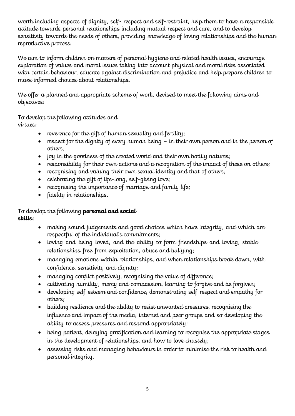worth including aspects of dignity, self- respect and self-restraint, help them to have a responsible attitude towards personal relationships including mutual respect and care, and to develop sensitivity towards the needs of others, providing knowledge of loving relationships and the human reproductive process.

We aim to inform children on matters of personal hygiene and related health issues, encourage exploration of values and moral issues taking into account physical and moral risks associated with certain behaviour, educate against discrimination and prejudice and help prepare children to make informed choices about relationships.

We offer a planned and appropriate scheme of work, devised to meet the following aims and objectives:

To develop the following attitudes and virtues:

- - reverence for the gift of human sexuality and fertility;
	- respect for the dignity of every human being in their own person and in the person of others;
	- joy in the goodness of the created world and their own bodily natures;
	- responsibility for their own actions and a recognition of the impact of these on others;
	- recognising and valuing their own sexual identity and that of others;
	- celebrating the gift of life-long, self-giving love;
	- recognising the importance of marriage and family life;
	- fidelity in relationships.

## To develop the following **personal and social skills**:

- making sound judgements and good choices which have integrity, and which are respectful of the individual's commitments;
- loving and being loved, and the ability to form friendships and loving, stable relationships free from exploitation, abuse and bullying;
- managing emotions within relationships, and when relationships break down, with confidence, sensitivity and dignity;
- managing conflict positively, recognising the value of difference;
- cultivating humility, mercy and compassion, learning to forgive and be forgiven;
- developing self-esteem and confidence, demonstrating self-respect and empathy for others;
- building resilience and the ability to resist unwanted pressures, recognising the influence and impact of the media, internet and peer groups and so developing the ability to assess pressures and respond appropriately;
- being patient, delaying gratification and learning to recognise the appropriate stages in the development of relationships, and how to love chastely;
- assessing risks and managing behaviours in order to minimise the risk to health and personal integrity.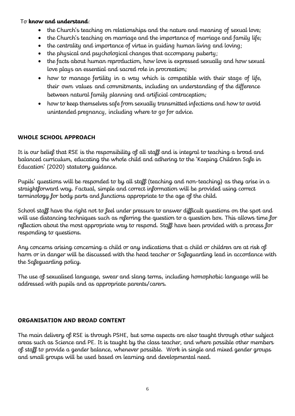#### To **know and understand**:

- the Church's teaching on relationships and the nature and meaning of sexual love;
- the Church's teaching on marriage and the importance of marriage and family life;
- the centrality and importance of virtue in guiding human living and loving;
- the physical and psychological changes that accompany puberty;
- the facts about human reproduction, how love is expressed sexually and how sexual love plays an essential and sacred role in procreation;
- how to manage fertility in a way which is compatible with their stage of life, their own values and commitments, including an understanding of the difference between natural family planning and artificial contraception;
- how to keep themselves safe from sexually transmitted infections and how to avoid unintended pregnancy, including where to go for advice.

#### **WHOLE SCHOOL APPROACH**

It is our belief that RSE is the responsibility of all staff and is integral to teaching a broad and balanced curriculum, educating the whole child and adhering to the 'Keeping Children Safe in Education' (2020) statutory guidance.

Pupils' questions will be responded to by all staff (teaching and non-teaching) as they arise in a straightforward way. Factual, simple and correct information will be provided using correct terminology for body parts and functions appropriate to the age of the child.

School staff have the right not to feel under pressure to answer difficult questions on the spot and will use distancing techniques such as referring the question to a question box. This allows time for reflection about the most appropriate way to respond. Staff have been provided with a process for responding to questions.

Any concerns arising concerning a child or any indications that a child or children are at risk of harm or in danger will be discussed with the head teacher or Safeguarding lead in accordance with the Safeguarding policy.

The use of sexualised language, swear and slang terms, including homophobic language will be addressed with pupils and as appropriate parents/carers.

#### **ORGANISATION AND BROAD CONTENT**

The main delivery of RSE is through PSHE, but some aspects are also taught through other subject areas such as Science and PE. It is taught by the class teacher, and where possible other members of staff to provide a gender balance, whenever possible. Work in single and mixed gender groups and small groups will be used based on learning and developmental need.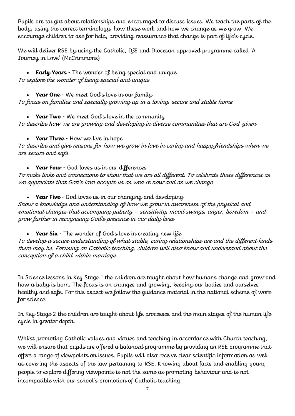Pupils are taught about relationships and encouraged to discuss issues. We teach the parts of the body, using the correct terminology, how these work and how we change as we grow. We encourage children to ask for help, providing reassurance that change is part of life's cycle.

We will deliver RSE by using the Catholic, DfE and Diocesan approved programme called 'A Journey in Love' (McCrimmons)

• **Early Years -** The wonder of being special and unique To explore the wonder of being special and unique

• **Year One -** We meet God's love in our family To focus on families and specially growing up in a loving, secure and stable home

• **Year Two -** We meet God's love in the community To describe how we are growing and developing in diverse communities that are God-given

• **Year Three -** How we live in hope

To describe and give reasons for how we grow in love in caring and happy friendships when we are secure and safe

• **Year Four -** God loves us in our differences

To make links and connections to show that we are all different. To celebrate these differences as we appreciate that God's love accepts us as wea re now and as we change

• **Year Five -** God loves us in our changing and developing

Show a knowledge and understanding of how we grow in awareness of the physical and emotional changes that accompany puberty – sensitivity, mood swings, anger, boredom – and grow further in recognising God's presence in our daily lives

• **Year Six -** The wonder of God's love in creating new life

To develop a secure understanding of what stable, caring relationships are and the different kinds there may be. Focusing on Catholic teaching, children will also know and understand about the conception of a child within marriage

In Science lessons in Key Stage 1 the children are taught about how humans change and grow and how a baby is born. The focus is on changes and growing, keeping our bodies and ourselves healthy and safe. For this aspect we follow the guidance material in the national scheme of work for science.

In Key Stage 2 the children are taught about life processes and the main stages of the human life cycle in greater depth.

Whilst promoting Catholic values and virtues and teaching in accordance with Church teaching, we will ensure that pupils are offered a balanced programme by providing an RSE programme that offers a range of viewpoints on issues. Pupils will also receive clear scientific information as well as covering the aspects of the law pertaining to RSE. Knowing about facts and enabling young people to explore differing viewpoints is not the same as promoting behaviour and is not incompatible with our school's promotion of Catholic teaching.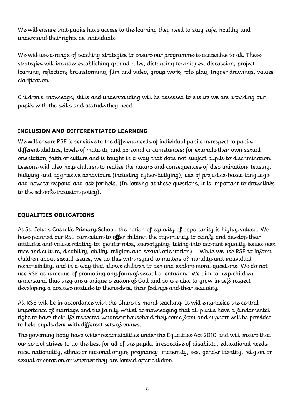We will ensure that pupils have access to the learning they need to stay safe, healthy and understand their rights as individuals.

We will use a range of teaching strategies to ensure our programme is accessible to all. These strategies will include: establishing ground rules, distancing techniques, discussion, project learning, reflection, brainstorming, film and video, group work, role-play, trigger drawings, values clarification.

Children's knowledge, skills and understanding will be assessed to ensure we are providing our pupils with the skills and attitude they need.

## **INCLUSION AND DIFFERENTIATED LEARNING**

We will ensure RSE is sensitive to the different needs of individual pupils in respect to pupils' different abilities, levels of maturity and personal circumstances; for example their own sexual orientation, faith or culture and is taught in a way that does not subject pupils to discrimination. Lessons will also help children to realise the nature and consequences of discrimination, teasing, bullying and aggressive behaviours (including cyber-bullying), use of prejudice-based language and how to respond and ask for help. (In looking at these questions, it is important to draw links to the school's inclusion policy).

#### **EQUALITIES OBLIGATIONS**

At St. John's Catholic Primary School, the notion of equality of opportunity is highly valued. We have planned our RSE curriculum to offer children the opportunity to clarify and develop their attitudes and values relating to: gender roles, stereotyping, taking into account equality issues (sex, race and culture, disability, ability, religion and sexual orientation). While we use RSE to inform children about sexual issues, we do this with regard to matters of morality and individual responsibility, and in a way that allows children to ask and explore moral questions. We do not use RSE as a means of promoting any form of sexual orientation. We aim to help children understand that they are a unique creation of God and so are able to grow in self-respect developing a positive attitude to themselves, their feelings and their sexuality

All RSE will be in accordance with the Church's moral teaching. It will emphasise the central importance of marriage and the family whilst acknowledging that all pupils have a fundamental right to have their life respected whatever household they come from and support will be provided to help pupils deal with different sets of values.

The governing body have wider responsibilities under the Equalities Act 2010 and will ensure that our school strives to do the best for all of the pupils, irrespective of disability, educational needs, race, nationality, ethnic or national origin, pregnancy, maternity, sex, gender identity, religion or sexual orientation or whether they are looked after children.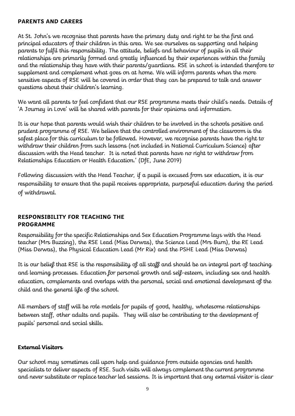#### **PARENTS AND CARERS**

At St. John's we recognise that parents have the primary duty and right to be the first and principal educators of their children in this area. We see ourselves as supporting and helping parents to fulfil this responsibility. The attitude, beliefs and behaviour of pupils in all their relationships are primarily formed and greatly influenced by their experiences within the family and the relationship they have with their parents/guardians. RSE in school is intended therefore to supplement and complement what goes on at home. We will inform parents when the more sensitive aspects of RSE will be covered in order that they can be prepared to talk and answer questions about their children's learning.

We want all parents to feel confident that our RSE programme meets their child's needs. Details of 'A Journey in Love' will be shared with parents for their opinions and information.

It is our hope that parents would wish their children to be involved in the schools positive and prudent programme of RSE. We believe that the controlled environment of the classroom is the safest place for this curriculum to be followed. However, we recognise parents have the right to withdraw their children from such lessons (not included in National Curriculum Science) after discussion with the Head teacher. It is noted that parents have no right to withdraw from Relationships Education or Health Education.' (DfE, June 2019)

Following discussion with the Head Teacher, if a pupil is excused from sex education, it is our responsibility to ensure that the pupil receives appropriate, purposeful education during the period of withdrawal.

#### **RESPONSIBILITY FOR TEACHING THE PROGRAMME**

Responsibility for the specific Relationships and Sex Education Programme lays with the Head teacher (Mrs Buzzing), the RSE Lead (Miss Derwas), the Science Lead (Mrs Burn), the RE Lead (Miss Derwas), the Physical Education Lead (Mr Rix) and the PSHE Lead (Miss Derwas)

It is our belief that RSE is the responsibility of all staff and should be an integral part of teaching and learning processes. Education for personal growth and self-esteem, including sex and health education, complements and overlaps with the personal, social and emotional development of the child and the general life of the school.

All members of staff will be role models for pupils of good, healthy, wholesome relationships between staff, other adults and pupils. They will also be contributing to the development of pupils' personal and social skills.

#### **External Visitors**

Our school may sometimes call upon help and guidance from outside agencies and health specialists to deliver aspects of RSE. Such visits will always complement the current programme and never substitute or replace teacher led sessions. It is important that any external visitor is clear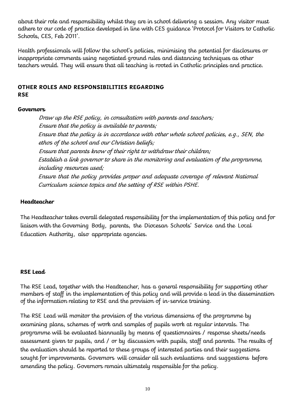about their role and responsibility whilst they are in school delivering a session. Any visitor must adhere to our code of practice developed in line with CES guidance 'Protocol for Visitors to Catholic Schools, CES, Feb 2011'.

Health professionals will follow the school's policies, minimising the potential for disclosures or inappropriate comments using negotiated ground rules and distancing techniques as other teachers would. They will ensure that all teaching is rooted in Catholic principles and practice.

#### **OTHER ROLES AND RESPONSIBILITIES REGARDING RSE**

#### **Governors**

 Draw up the RSE policy, in consultation with parents and teachers; Ensure that the policy is available to parents; Ensure that the policy is in accordance with other whole school policies, e.g., SEN, the ethos of the school and our Christian beliefs; Ensure that parents know of their right to withdraw their children; Establish <sup>a</sup> link governor to share in the monitoring and evaluation of the programme, including resources used; Ensure that the policy provides proper and adequate coverage of relevant National Curriculum science topics and the setting of RSE within PSHE.

#### **Headteacher**

The Headteacher takes overall delegated responsibility for the implementation of this policy and for liaison with the Governing Body, parents, the Diocesan Schools' Service and the Local Education Authority, also appropriate agencies.

#### **RSE Lead**

The RSE Lead, together with the Headteacher, has a general responsibility for supporting other members of staff in the implementation of this policy and will provide a lead in the dissemination of the information relating to RSE and the provision of in-service training.

The RSE Lead will monitor the provision of the various dimensions of the programme by examining plans, schemes of work and samples of pupils work at regular intervals. The programme will be evaluated biannually by means of questionnaires / response sheets/needs assessment given to pupils, and / or by discussion with pupils, staff and parents. The results of the evaluation should be reported to these groups of interested parties and their suggestions sought for improvements. Governors will consider all such evaluations and suggestions before amending the policy. Governors remain ultimately responsible for the policy.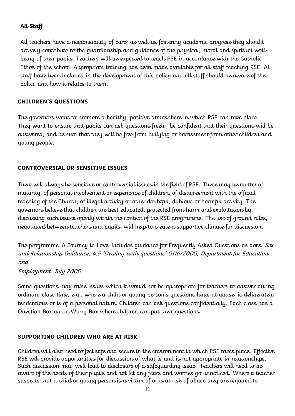## **All Staff**

All teachers have a responsibility of care; as well as fostering academic progress they should actively contribute to the guardianship and guidance of the physical, moral and spiritual wellbeing of their pupils. Teachers will be expected to teach RSE in accordance with the Catholic Ethos of the school. Appropriate training has been made available for all staff teaching RSE. All staff have been included in the development of this policy and all staff should be aware of the policy and how it relates to them.

#### **CHILDREN'S QUESTIONS**

The governors want to promote a healthy, positive atmosphere in which RSE can take place. They want to ensure that pupils can ask questions freely, be confident that their questions will be answered, and be sure that they will be free from bullying or harassment from other children and young people.

#### **CONTROVERSIAL OR SENSITIVE ISSUES**

There will always be sensitive or controversial issues in the field of RSE. These may be matter of maturity, of personal involvement or experience of children, of disagreement with the official teaching of the Church, of illegal activity or other doubtful, dubious or harmful activity. The governors believe that children are best educated, protected from harm and exploitation by discussing such issues openly within the context of the RSE programme. The use of ground rules, negotiated between teachers and pupils, will help to create a supportive climate for discussion.

The programme 'A Journey in Love' includes guidance for Frequently Asked Questions as does 'Sex and Relationship Guidance, 4.5 'Dealing with questions' 0116/2000, Department for Education and

Employment, July 2000.

Some questions may raise issues which it would not be appropriate for teachers to answer during ordinary class time, e.g., where a child or young person's questions hints at abuse, is deliberately tendentious or is of a personal nature. Children can ask questions confidentially. Each class has a Question Box and a Worry Box where children can put their questions.

#### **SUPPORTING CHILDREN WHO ARE AT RISK**

Children will also need to feel safe and secure in the environment in which RSE takes place. Effective RSE will provide opportunities for discussion of what is and is not appropriate in relationships. Such discussion may well lead to disclosure of a safeguarding issue. Teachers will need to be aware of the needs of their pupils and not let any fears and worries go unnoticed. Where a teacher suspects that a child or young person is a victim of or is at risk of abuse they are required to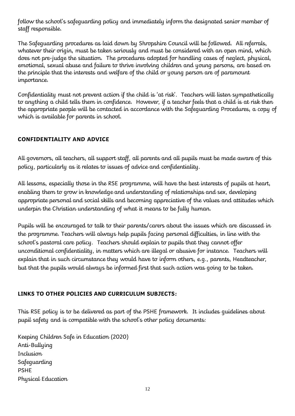follow the school's safeguarding policy and immediately inform the designated senior member of staff responsible.

The Safeguarding procedures as laid down by Shropshire Council will be followed. All referrals, whatever their origin, must be taken seriously and must be considered with an open mind, which does not pre-judge the situation. The procedures adopted for handling cases of neglect, physical, emotional, sexual abuse and failure to thrive involving children and young persons, are based on the principle that the interests and welfare of the child or young person are of paramount importance.

Confidentiality must not prevent action if the child is 'at risk'. Teachers will listen sympathetically to anything a child tells them in confidence. However, if a teacher feels that a child is at risk then the appropriate people will be contacted in accordance with the Safeguarding Procedures, a copy of which is available for parents in school.

## **CONFIDENTIALITY AND ADVICE**

All governors, all teachers, all support staff, all parents and all pupils must be made aware of this policy, particularly as it relates to issues of advice and confidentiality.

All lessons, especially those in the RSE programme, will have the best interests of pupils at heart, enabling them to grow in knowledge and understanding of relationships and sex, developing appropriate personal and social skills and becoming appreciative of the values and attitudes which underpin the Christian understanding of what it means to be fully human.

Pupils will be encouraged to talk to their parents/carers about the issues which are discussed in the programme. Teachers will always help pupils facing personal difficulties, in line with the school's pastoral care policy. Teachers should explain to pupils that they cannot offer unconditional confidentiality, in matters which are illegal or abusive for instance. Teachers will explain that in such circumstance they would have to inform others, e.g., parents, Headteacher, but that the pupils would always be informed first that such action was going to be taken.

#### **LINKS TO OTHER POLICIES AND CURRICULUM SUBJECTS:**

This RSE policy is to be delivered as part of the PSHE framework. It includes guidelines about pupil safety and is compatible with the school's other policy documents:

Keeping Children Safe in Education (2020) Anti-Bullying Inclusion Safeguarding PSHE Physical Education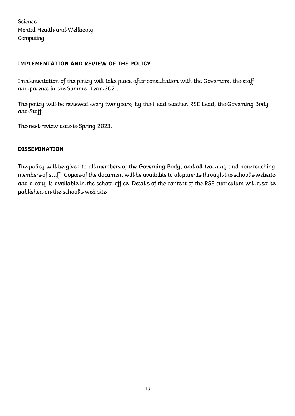Science Mental Health and Wellbeing **Computing** 

#### **IMPLEMENTATION AND REVIEW OF THE POLICY**

Implementation of the policy will take place after consultation with the Governors, the staff and parents in the Summer Term 2021.

The policy will be reviewed every two years, by the Head teacher, RSE Lead, the Governing Body and Staff.

The next review date is Spring 2023.

#### **DISSEMINATION**

The policy will be given to all members of the Governing Body, and all teaching and non-teaching members of staff. Copies of the document will be available to all parents through the school's website and a copy is available in the school office. Details of the content of the RSE curriculum will also be published on the school's web site.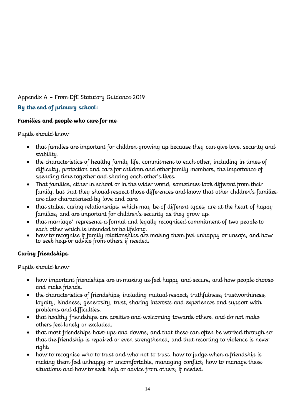## Appendix A – From DfE Statutory Guidance 2019

## **By the end of primary school:**

## **Families and people who care for me**

Pupils should know

- that families are important for children growing up because they can give love, security and stability.
- the characteristics of healthy family life, commitment to each other, including in times of difficulty, protection and care for children and other family members, the importance of spending time together and sharing each other's lives.
- That families, either in school or in the wider world, sometimes look different from their family, but that they should respect those differences and know that other children's families are also characterised by love and care.
- that stable, caring relationships, which may be of different types, are at the heart of happy families, and are important for children's security as they grow up.
- that marriage\* represents a formal and legally recognised commitment of two people to each other which is intended to be lifelong.
- how to recognise if family relationships are making them feel unhappy or unsafe, and how to seek help or advice from others if needed.

## **Caring friendships**

Pupils should know

- how important friendships are in making us feel happy and secure, and how people choose and make friends.
- the characteristics of friendships, including mutual respect, truthfulness, trustworthiness, loyalty, kindness, generosity, trust, sharing interests and experiences and support with problems and difficulties.
- that healthy friendships are positive and welcoming towards others, and do not make others feel lonely or excluded.
- that most friendships have ups and downs, and that these can often be worked through so that the friendship is repaired or even strengthened, and that resorting to violence is never right.
- how to recognise who to trust and who not to trust, how to judge when a friendship is making them feel unhappy or uncomfortable, managing conflict, how to manage these situations and how to seek help or advice from others, if needed.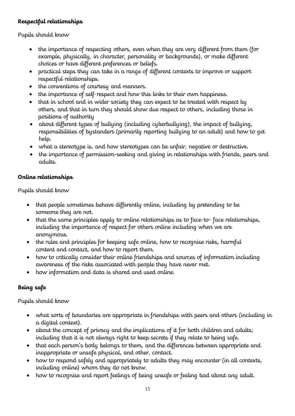## **Respectful relationships**

Pupils should know

- the importance of respecting others, even when they are very different from them (for example, physically, in character, personality or backgrounds), or make different choices or have different preferences or beliefs.
- practical steps they can take in a range of different contexts to improve or support respectful relationships.
- the conventions of courtesy and manners.
- the importance of self-respect and how this links to their own happiness.
- that in school and in wider society they can expect to be treated with respect by others, and that in turn they should show due respect to others, including those in positions of authority
- about different types of bullying (including cyberbullying), the impact of bullying, responsibilities of bystanders (primarily reporting bullying to an adult) and how to get help.
- what a stereotype is, and how stereotypes can be unfair, negative or destructive.
- the importance of permission-seeking and giving in relationships with friends, peers and adults.

## **Online relationships**

Pupils should know

- that people sometimes behave differently online, including by pretending to be someone they are not.
- that the same principles apply to online relationships as to face-to- face relationships, including the importance of respect for others online including when we are anonymous.
- the rules and principles for keeping safe online, how to recognise risks, harmful content and contact, and how to report them.
- how to critically consider their online friendships and sources of information including awareness of the risks associated with people they have never met.
- how information and data is shared and used online.

## **Being safe**

Pupils should know

- what sorts of boundaries are appropriate in friendships with peers and others (including in a digital context).
- about the concept of privacy and the implications of it for both children and adults; including that it is not always right to keep secrets if they relate to being safe.
- that each person's body belongs to them, and the differences between appropriate and inappropriate or unsafe physical, and other, contact.
- how to respond safely and appropriately to adults they may encounter (in all contexts, including online) whom they do not know.
- how to recognise and report feelings of being unsafe or feeling bad about any adult.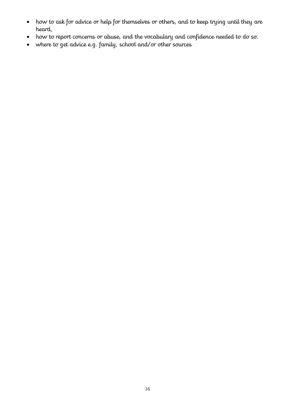- how to ask for advice or help for themselves or others, and to keep trying until they are heard,
- how to report concerns or abuse, and the vocabulary and confidence needed to do so.
- where to get advice e.g. family, school and/or other sources